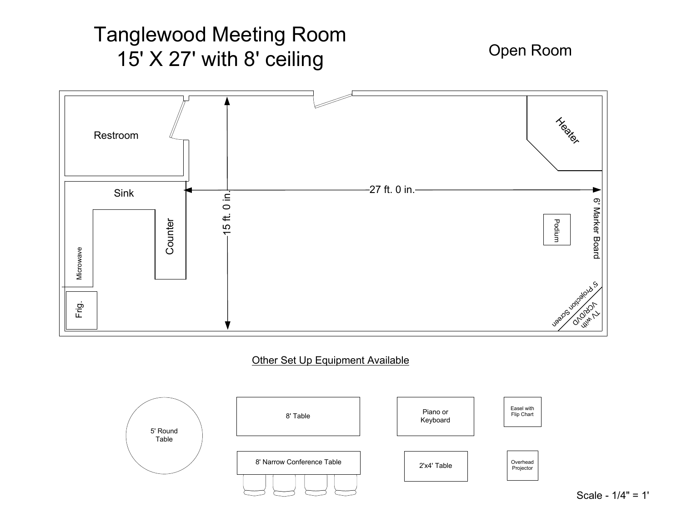# Tanglewood Meeting Room15' X 27' with 8' ceiling

Open Room



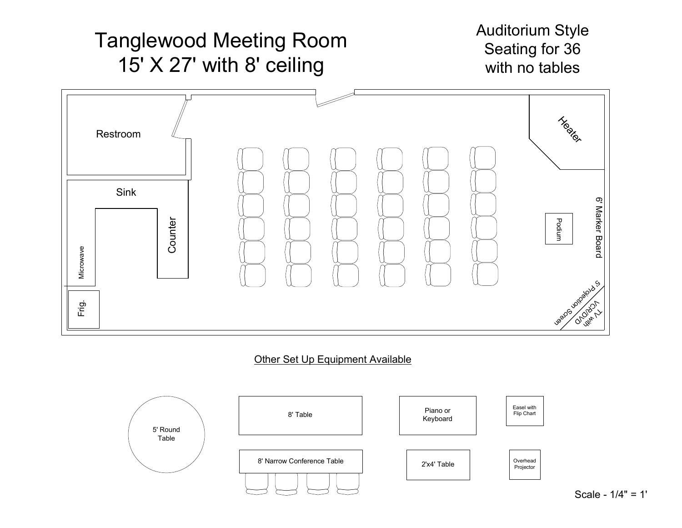

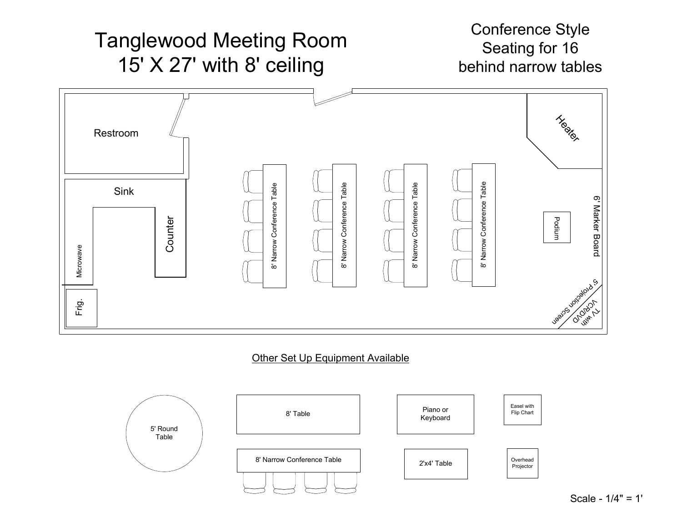

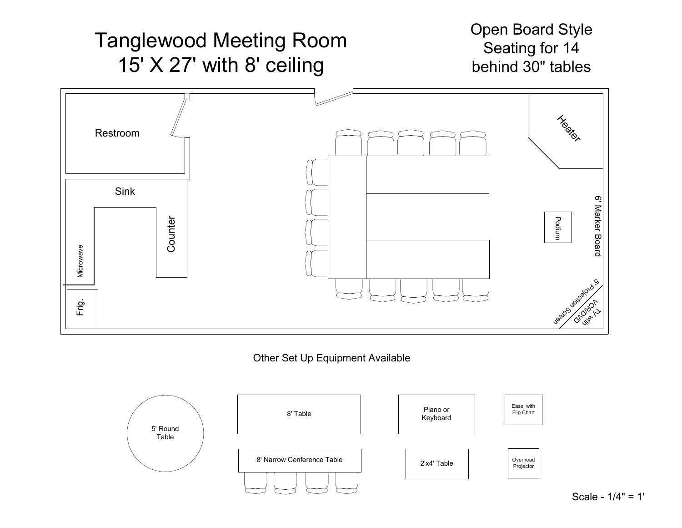

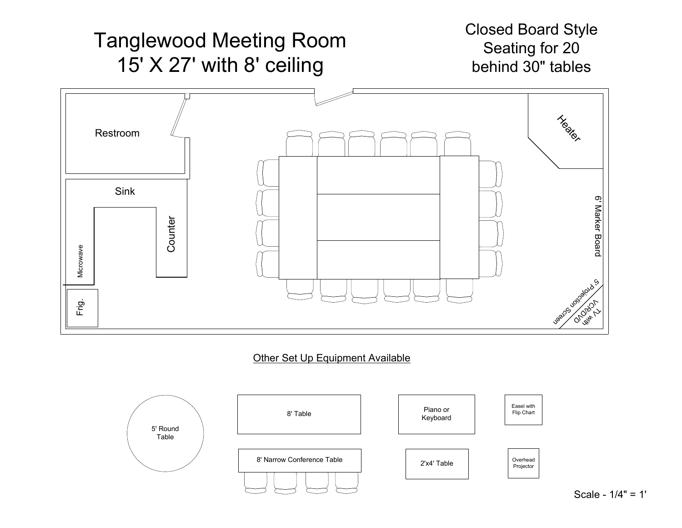

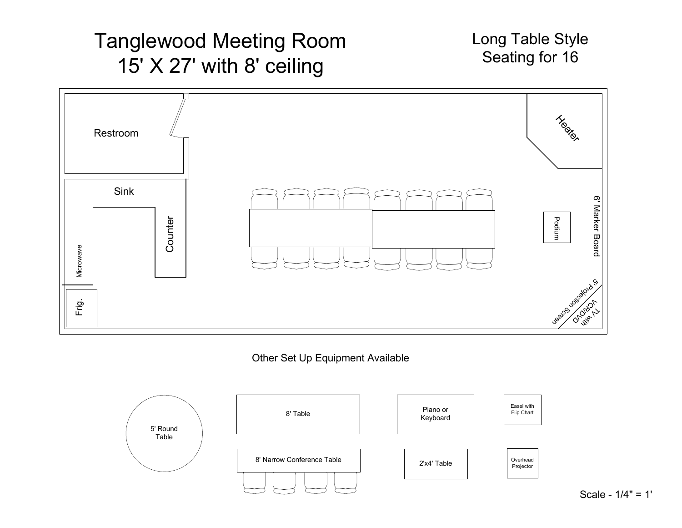## Tanglewood Meeting Room15' X 27' with 8' ceiling

Long Table StyleSeating for 16



#### Other Set Up Equipment Available



Scale - 1/4" = 1'